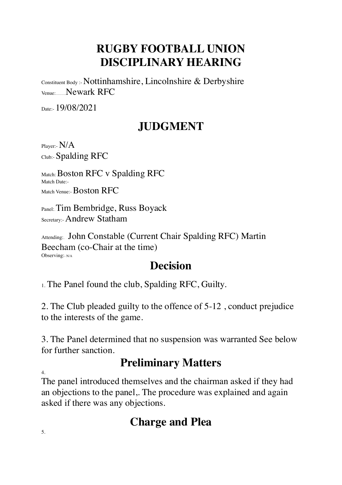# **RUGBY FOOTBALL UNION DISCIPLINARY HEARING**

Constituent Body :- Nottinhamshire, Lincolnshire & Derbyshire Venue:………Newark RFC

Date: 19/08/2021

### **JUDGMENT**

Player:- N/A Club:- Spalding RFC

Match: Boston RFC v Spalding RFC Match Date:- Match Venue:- Boston RFC

Panel: Tim Bembridge, Russ Boyack Secretary:- Andrew Statham

Attending:. John Constable (Current Chair Spalding RFC) Martin Beecham (co-Chair at the time) Observing:- N/A

#### **Decision**

1. The Panel found the club, Spalding RFC, Guilty.

2. The Club pleaded guilty to the offence of 5-12 , conduct prejudice to the interests of the game.

3. The Panel determined that no suspension was warranted See below for further sanction.

# **Preliminary Matters**

4.

The panel introduced themselves and the chairman asked if they had an objections to the panel,. The procedure was explained and again asked if there was any objections.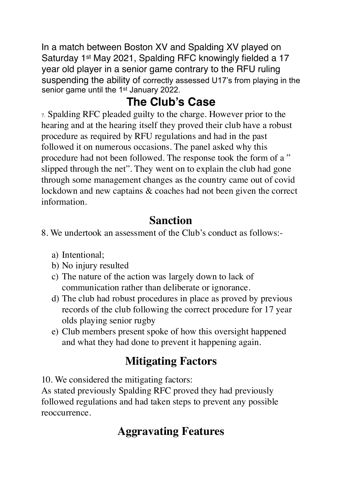In a match between Boston XV and Spalding XV played on Saturday 1st May 2021, Spalding RFC knowingly fielded a 17 year old player in a senior game contrary to the RFU ruling suspending the ability of correctly assessed U17's from playing in the senior game until the 1<sup>st</sup> January 2022.

# **The Club's Case**

7. Spalding RFC pleaded guilty to the charge. However prior to the hearing and at the hearing itself they proved their club have a robust procedure as required by RFU regulations and had in the past followed it on numerous occasions. The panel asked why this procedure had not been followed. The response took the form of a " slipped through the net". They went on to explain the club had gone through some management changes as the country came out of covid lockdown and new captains & coaches had not been given the correct information.

### **Sanction**

- 8. We undertook an assessment of the Club's conduct as follows:
	- a) Intentional;
	- b) No injury resulted
	- c) The nature of the action was largely down to lack of communication rather than deliberate or ignorance.
	- d) The club had robust procedures in place as proved by previous records of the club following the correct procedure for 17 year olds playing senior rugby
	- e) Club members present spoke of how this oversight happened and what they had done to prevent it happening again.

# **Mitigating Factors**

10. We considered the mitigating factors:

As stated previously Spalding RFC proved they had previously followed regulations and had taken steps to prevent any possible reoccurrence.

# **Aggravating Features**